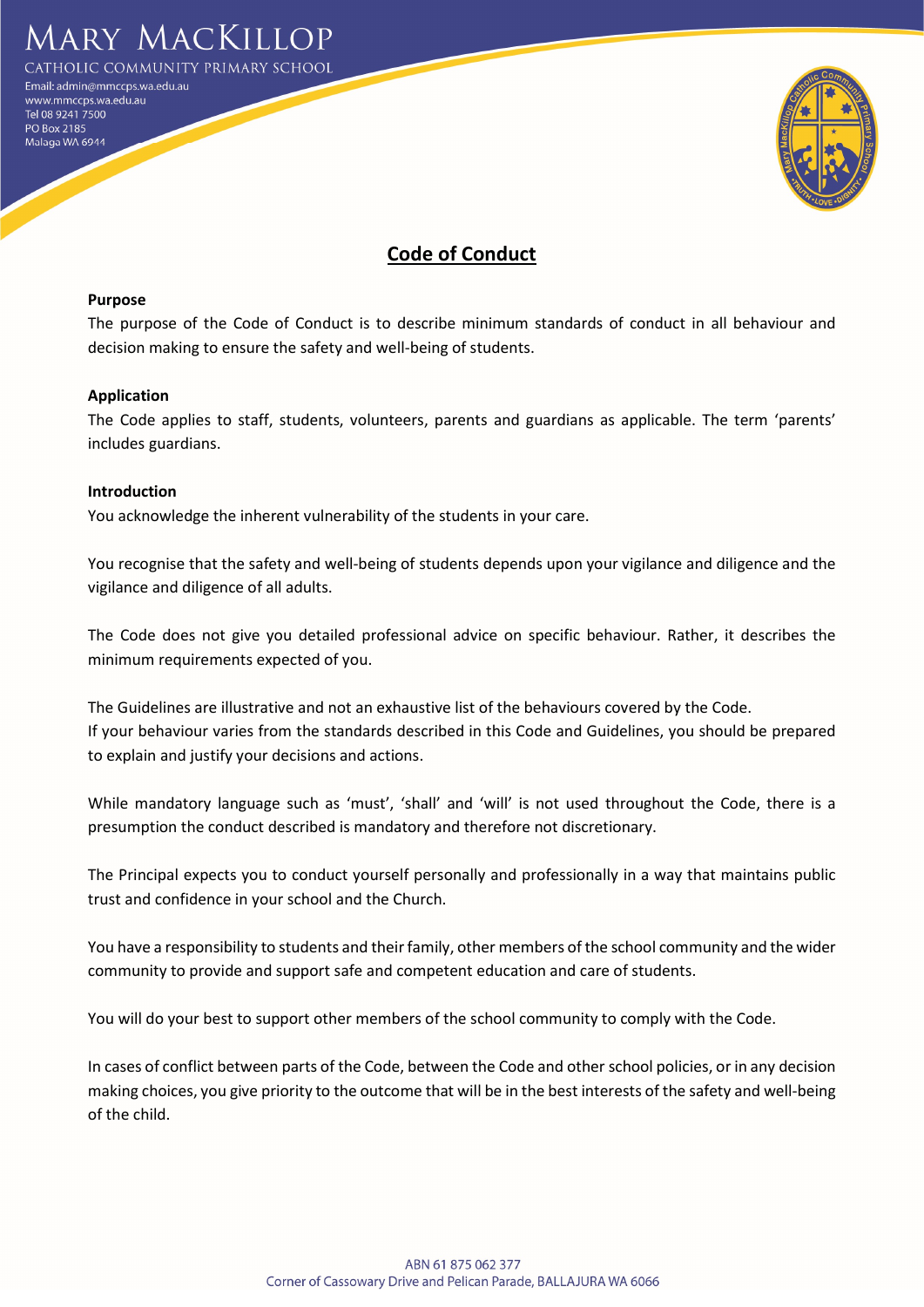

**DLIC COMMUNITY PRIMARY SCHOOL** 

mail: admin@mmccps.wa.edu.au www.mmccps.wa.edu.au Tel 08 9241 7500 PO Box 2185 Malaga WA 6944



# Code of Conduct

#### Purpose

The purpose of the Code of Conduct is to describe minimum standards of conduct in all behaviour and decision making to ensure the safety and well-being of students.

## Application

The Code applies to staff, students, volunteers, parents and guardians as applicable. The term 'parents' includes guardians.

#### Introduction

You acknowledge the inherent vulnerability of the students in your care.

You recognise that the safety and well-being of students depends upon your vigilance and diligence and the vigilance and diligence of all adults.

The Code does not give you detailed professional advice on specific behaviour. Rather, it describes the minimum requirements expected of you.

The Guidelines are illustrative and not an exhaustive list of the behaviours covered by the Code. If your behaviour varies from the standards described in this Code and Guidelines, you should be prepared to explain and justify your decisions and actions.

While mandatory language such as 'must', 'shall' and 'will' is not used throughout the Code, there is a presumption the conduct described is mandatory and therefore not discretionary.

The Principal expects you to conduct yourself personally and professionally in a way that maintains public trust and confidence in your school and the Church.

You have a responsibility to students and their family, other members of the school community and the wider community to provide and support safe and competent education and care of students.

You will do your best to support other members of the school community to comply with the Code.

In cases of conflict between parts of the Code, between the Code and other school policies, or in any decision making choices, you give priority to the outcome that will be in the best interests of the safety and well-being of the child.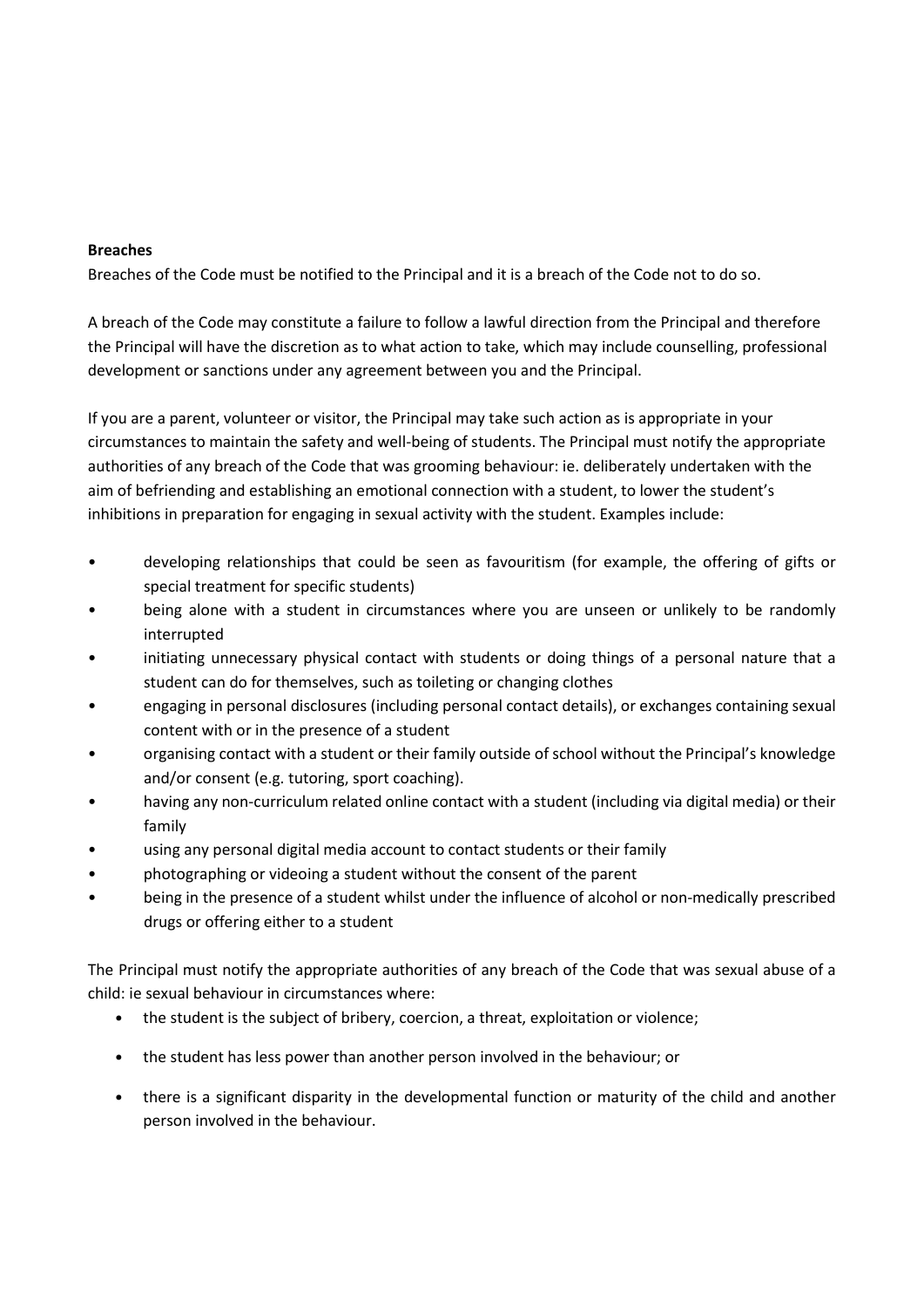## Breaches

Breaches of the Code must be notified to the Principal and it is a breach of the Code not to do so.

A breach of the Code may constitute a failure to follow a lawful direction from the Principal and therefore the Principal will have the discretion as to what action to take, which may include counselling, professional development or sanctions under any agreement between you and the Principal.

If you are a parent, volunteer or visitor, the Principal may take such action as is appropriate in your circumstances to maintain the safety and well-being of students. The Principal must notify the appropriate authorities of any breach of the Code that was grooming behaviour: ie. deliberately undertaken with the aim of befriending and establishing an emotional connection with a student, to lower the student's inhibitions in preparation for engaging in sexual activity with the student. Examples include:

- developing relationships that could be seen as favouritism (for example, the offering of gifts or special treatment for specific students)
- being alone with a student in circumstances where you are unseen or unlikely to be randomly interrupted
- initiating unnecessary physical contact with students or doing things of a personal nature that a student can do for themselves, such as toileting or changing clothes
- engaging in personal disclosures (including personal contact details), or exchanges containing sexual content with or in the presence of a student
- organising contact with a student or their family outside of school without the Principal's knowledge and/or consent (e.g. tutoring, sport coaching).
- having any non-curriculum related online contact with a student (including via digital media) or their family
- using any personal digital media account to contact students or their family
- photographing or videoing a student without the consent of the parent
- being in the presence of a student whilst under the influence of alcohol or non-medically prescribed drugs or offering either to a student

The Principal must notify the appropriate authorities of any breach of the Code that was sexual abuse of a child: ie sexual behaviour in circumstances where:

- the student is the subject of bribery, coercion, a threat, exploitation or violence;
- the student has less power than another person involved in the behaviour; or
- there is a significant disparity in the developmental function or maturity of the child and another person involved in the behaviour.